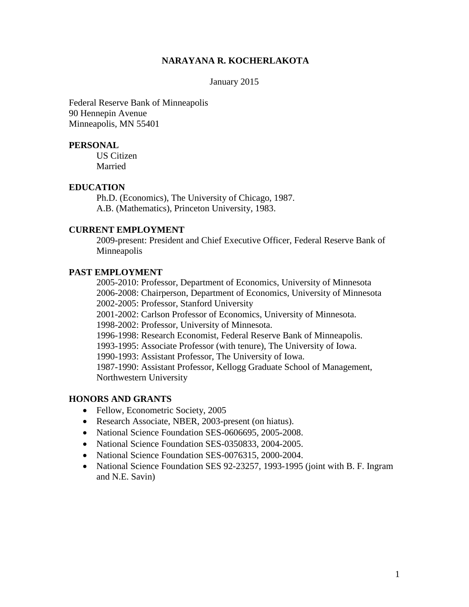#### **NARAYANA R. KOCHERLAKOTA**

#### January 2015

Federal Reserve Bank of Minneapolis 90 Hennepin Avenue Minneapolis, MN 55401

#### **PERSONAL**

US Citizen Married

#### **EDUCATION**

Ph.D. (Economics), The University of Chicago, 1987. A.B. (Mathematics), Princeton University, 1983.

### **CURRENT EMPLOYMENT**

2009-present: President and Chief Executive Officer, Federal Reserve Bank of Minneapolis

#### **PAST EMPLOYMENT**

2005-2010: Professor, Department of Economics, University of Minnesota 2006-2008: Chairperson, Department of Economics, University of Minnesota 2002-2005: Professor, Stanford University 2001-2002: Carlson Professor of Economics, University of Minnesota. 1998-2002: Professor, University of Minnesota. 1996-1998: Research Economist, Federal Reserve Bank of Minneapolis. 1993-1995: Associate Professor (with tenure), The University of Iowa. 1990-1993: Assistant Professor, The University of Iowa. 1987-1990: Assistant Professor, Kellogg Graduate School of Management, Northwestern University

#### **HONORS AND GRANTS**

- Fellow, Econometric Society, 2005
- Research Associate, NBER, 2003-present (on hiatus).
- National Science Foundation SES-0606695, 2005-2008.
- National Science Foundation SES-0350833, 2004-2005.
- National Science Foundation SES-0076315, 2000-2004.
- National Science Foundation SES 92-23257, 1993-1995 (joint with B. F. Ingram and N.E. Savin)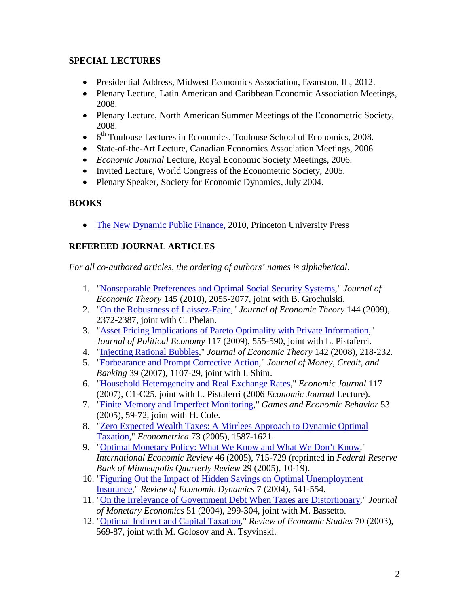## **SPECIAL LECTURES**

- Presidential Address, Midwest Economics Association, Evanston, IL, 2012.
- Plenary Lecture, Latin American and Caribbean Economic Association Meetings, 2008.
- Plenary Lecture, North American Summer Meetings of the Econometric Society, 2008.
- $\bullet$  6<sup>th</sup> Toulouse Lectures in Economics, Toulouse School of Economics, 2008.
- State-of-the-Art Lecture, Canadian Economics Association Meetings, 2006.
- *Economic Journal* Lecture, Royal Economic Society Meetings, 2006.
- Invited Lecture, World Congress of the Econometric Society, 2005.
- Plenary Speaker, Society for Economic Dynamics, July 2004.

## **BOOKS**

• [The New Dynamic Public Finance,](http://www.jstor.org/stable/j.ctt7s9rn) 2010, Princeton University Press

# **REFEREED JOURNAL ARTICLES**

*For all co-authored articles, the ordering of authors' names is alphabetical.* 

- 1. ["Nonseparable Preferences and Optimal Social Security Systems,](doi:10.1016/j.jet.2010.01.012)" *Journal of Economic Theory* 145 (2010), 2055-2077, joint with B. Grochulski.
- 2. ["On the Robustness of Laissez-Faire,](http://dx.doi.org/10.1016/j.jet.2008.09.004)" *Journal of Economic Theory* 144 (2009), 2372-2387, joint with C. Phelan.
- 3. ["Asset Pricing Implications of Pareto Optimality with Private Information,](http://dx.doi.org/10.1086/599761)" *Journal of Political Economy* 117 (2009), 555-590, joint with L. Pistaferri.
- 4. ["Injecting Rational Bubbles,](http://dx.doi.org/10.1016/j.jet.2006.07.010)" *Journal of Economic Theory* 142 (2008), 218-232.
- 5. ["Forbearance and Prompt Corrective Action,](http://dx.doi.org/10.1111/j.1538-4616.2007.00059.x)" *Journal of Money, Credit, and Banking* 39 (2007), 1107-29*,* joint with I. Shim.
- 6. ["Household Heterogeneity and Real Exchange Rates,](http://dx.doi.org/10.1111/j.1468-0297.2007.02032.x)" *Economic Journal* 117 (2007), C1-C25, joint with L. Pistaferri (2006 *Economic Journal* Lecture).
- 7. ["Finite Memory and Imperfect Monitoring,](http://dx.doi.org/10.1016/j.geb.2004.07.001)" *Games and Economic Behavior* 53 (2005), 59-72, joint with H. Cole.
- 8. ["Zero Expected Wealth Taxes: A Mirrlees Approach to Dynamic Optimal](http://dx.doi.org/10.1111/j.1468-0262.2005.00630.x)  [Taxation,](http://dx.doi.org/10.1111/j.1468-0262.2005.00630.x)" *Econometrica* 73 (2005), 1587-1621.
- 9. ["Optimal Monetary Policy: What We Know and What We Don't Know,](http://minneapolisfed.org/research/QR/QR2912.pdf)" *International Economic Review* 46 (2005), 715-729 (reprinted in *Federal Reserve Bank of Minneapolis Quarterly Review* 29 (2005), 10-19).
- 10. ["Figuring Out the Impact of Hidden Savings on Optimal Unemployment](http://dx.doi.org/10.1016/j.red.2004.01.003)  [Insurance,](http://dx.doi.org/10.1016/j.red.2004.01.003)" *Review of Economic Dynamics* 7 (2004), 541-554.
- 11. ["On the Irrelevance of Government Debt When Taxes are Distortionary,](http://dx.doi.org/10.1016/j.jmoneco.2002.12.001)" *Journal of Monetary Economics* 51 (2004), 299-304, joint with M. Bassetto.
- 12. ["Optimal Indirect and Capital Taxation,](http://links.jstor.org/sici?sici=0034-6527%28200307%2970%3A3%3C569%3AOIACT%3E2.0.CO%3B2-2)" *Review of Economic Studies* 70 (2003), 569-87, joint with M. Golosov and A. Tsyvinski.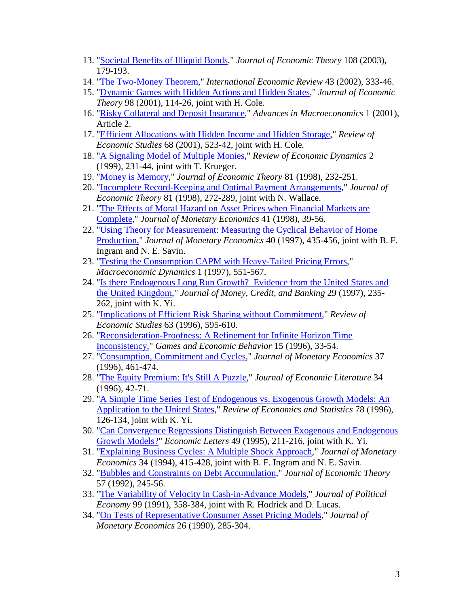- 13. ["Societal Benefits of Illiquid Bonds,](http://dx.doi.org/10.1016/S0022-0531(03)00029-2)" *Journal of Economic Theory* 108 (2003), 179-193.
- 14. ["The Two-Money Theorem,](http://dx.doi.org/10.1111/1468-2354.t01-1-00017)" *International Economic Review* 43 (2002), 333-46.
- 15. ["Dynamic Games with Hidden Actions and Hidden States,](http://dx.doi.org/10.1006/jeth.2000.2695)" *Journal of Economic Theory* 98 (2001), 114-26*,* joint with H. Cole*.*
- 16. ["Risky Collateral and Deposit Insurance,](http://www.bepress.com/bejm/advances/vol1/iss1/art2/)" *Advances in Macroeconomics* 1 (2001), Article 2.
- 17. ["Efficient Allocations with Hidden Income and Hidden Storage,](http://links.jstor.org/sici?sici=0034-6527%28200107%2968%3A3%3C523%3AEAWHIA%3E2.0.CO%3B2-U)" *Review of Economic Studies* 68 (2001), 523-42, joint with H. Cole*.*
- 18. ["A Signaling Model of Multiple Monies,](http://dx.doi.org/10.1006/redy.1998.0038)" *Review of Economic Dynamics* 2 (1999)*,* 231-44, joint with T. Krueger.
- 19. ["Money is Memory,](http://dx.doi.org/10.1006/jeth.1997.2357)" *Journal of Economic Theory* 81 (1998), 232-251.
- 20. ["Incomplete Record-Keeping and Optimal Payment Arrangements,](http://dx.doi.org/10.1006/jeth.1998.2396)" *Journal of Economic Theory* 81 (1998)*,* 272-289, joint with N. Wallace.
- 21. ["The Effects of Moral Hazard on Asset Prices when Financial Markets are](http://dx.doi.org/10.1016/S0304-3932(97)00066-4)  [Complete,](http://dx.doi.org/10.1016/S0304-3932(97)00066-4)" *Journal of Monetary Economics* 41 (1998), 39-56.
- 22. ["Using Theory for Measurement: Measuring the Cyclical Behavior of Home](http://dx.doi.org/10.1016/S0304-3932(97)00058-5)  [Production,"](http://dx.doi.org/10.1016/S0304-3932(97)00058-5) *Journal of Monetary Economics* 40 (1997), 435-456, joint with B. F. Ingram and N. E. Savin.
- 23. ["Testing the Consumption CAPM with Heavy-Tailed Pricing Errors,](http://www.journals.cup.org/bin/bladerunner?REQUNIQ=1040429525&REQSESS=2905624&118200REQEVENT=&REQINT1=51800&REQAUTH=0)" *Macroeconomic Dynamics* 1 (1997), 551-567.
- 24. ["Is there Endogenous Long Run Growth? Evidence from the United States and](http://links.jstor.org/sici?sici=0022-2879(199705)29:2%3c235:ITELGE%3e2.0.CO;2-1)  [the United Kingdom,](http://links.jstor.org/sici?sici=0022-2879(199705)29:2%3c235:ITELGE%3e2.0.CO;2-1)" *Journal of Money, Credit, and Banking* 29 (1997), 235- 262, joint with K. Yi.
- 25. ["Implications of Efficient Risk Sharing without Commitment,](http://links.jstor.org/sici?sici=0034-6527%28199610%2963%3A4%3C595%3AIOERSW%3E2.0.CO%3B2-W%0d%0a)" *Review of Economic Studies* 63 (1996), 595-610.
- 26. ["Reconsideration-Proofness: A Refinement for Infinite Horizon Time](http://dx.doi.org/10.1006/game.1996.0058)  [Inconsistency,"](http://dx.doi.org/10.1006/game.1996.0058) *Games and Economic Behavior* 15 (1996), 33-54.
- 27. ["Consumption, Commitment and Cycles,](http://dx.doi.org/10.1016/0304-3932(96)01258-5)" *Journal of Monetary Economics* 37 (1996), 461-474.
- 28. ["The Equity Premium: It's Still A Puzzle,](http://links.jstor.org/sici?sici=0022-0515(199603)34:1%3c42:TEPISA%3e2.0.CO;2-X)" *Journal of Economic Literature* 34 (1996), 42-71.
- 29. ["A Simple Time Series Test of Endogenous vs. Exogenous Growth Models: An](http://links.jstor.org/sici?sici=0034-6535%28199602%2978%3A1%3C126%3AASTSTO%3E2.0.CO%3B2-9)  [Application to the United States,](http://links.jstor.org/sici?sici=0034-6535%28199602%2978%3A1%3C126%3AASTSTO%3E2.0.CO%3B2-9)" *Review of Economics and Statistics* 78 (1996), 126-134, joint with K. Yi.
- 30. ["Can Convergence Regressions Distinguish Between Exogenous and Endogenous](http://dx.doi.org/10.1016/0165-1765(95)00671-2)  [Growth Models?"](http://dx.doi.org/10.1016/0165-1765(95)00671-2) *Economic Letters* 49 (1995), 211-216, joint with K. Yi.
- 31. ["Explaining Business Cycles: A Multiple Shock Approach,](http://dx.doi.org/10.1016/0304-3932(94)90026-4)" *Journal of Monetary Economics* 34 (1994), 415-428, joint with B. F. Ingram and N. E. Savin.
- 32. ["Bubbles and Constraints on Debt Accumulation,](http://dx.doi.org/10.1016/S0022-0531(05)80052-3)" *Journal of Economic Theory*  57 (1992), 245-56.
- 33. ["The Variability of Velocity in Cash-in-Advance Models,](http://links.jstor.org/sici?sici=0022-3808%28199104%2999%3A2%3C358%3ATVOVIC%3E2.0.CO%3B2-V%0d%0a)" *Journal of Political Economy* 99 (1991), 358-384, joint with R. Hodrick and D. Lucas.
- 34. ["On Tests of Representative Consumer Asset Pricing Models,](http://dx.doi.org/10.1016/0304-3932(90)90024-X)" *Journal of Monetary Economics* 26 (1990), 285-304.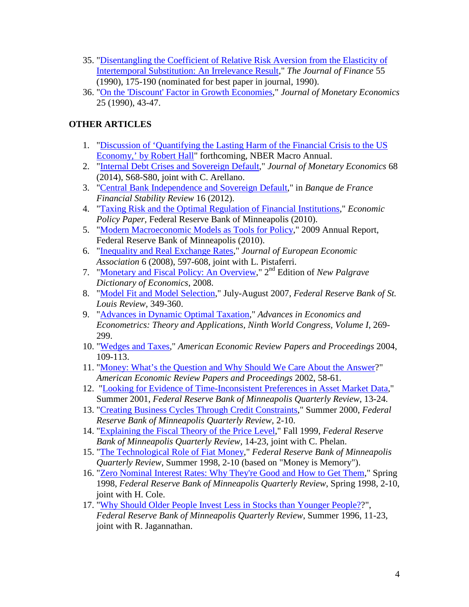- 35. ["Disentangling the Coefficient of Relative Risk Aversion from the Elasticity of](http://links.jstor.org/sici?sici=0022-1082%28199003%2945%3A1%3C175%3ADTCORR%3E2.0.CO%3B2-G%0d%0a)  [Intertemporal Substitution: An Irrelevance Result,](http://links.jstor.org/sici?sici=0022-1082%28199003%2945%3A1%3C175%3ADTCORR%3E2.0.CO%3B2-G%0d%0a)" *The Journal of Finance* 55 (1990), 175-190 (nominated for best paper in journal, 1990).
- 36. ["On the 'Discount' Factor in Growth Economies,](http://dx.doi.org/10.1016/0304-3932(90)90043-4)" *Journal of Monetary Economics*  25 (1990), 43-47.

# **OTHER ARTICLES**

- 1. ["Discussion of 'Quantifying the Lasting Harm of the Financial Crisis to the US](http://www.minneapolisfed.org/news_events/pres/kocherlakota_discussion_April12_2014.pdf)  [Economy,' by Robert Hall"](http://www.minneapolisfed.org/news_events/pres/kocherlakota_discussion_April12_2014.pdf) forthcoming, NBER Macro Annual.
- 2. ["Internal Debt Crises and Sovereign Default,](http://www.sciencedirect.com/science/article/pii/S0304393214000464)" *Journal of Monetary Economics* 68 (2014), S68-S80, joint with C. Arellano.
- 3. ["Central Bank Independence and Sovereign Default,](http://www.banque-france.fr/fileadmin/user_upload/banque_de_france/publications/Revue_de_la_stabilite_financiere/2012/rsf-avril-2012/FSR16-article-14.pdf)" in *Banque de France Financial Stability Review* 16 (2012).
- 4. ["Taxing Risk and the Optimal Regulation of Financial Institutions,](https://www.minneapolisfed.org/research/economic-policy-papers/taxing-risk-and-the-optimal-regulation-of-financial-institutions)" *Economic Policy Paper,* Federal Reserve Bank of Minneapolis (2010).
- 5. ["Modern Macroeconomic Models as Tools for Policy,](http://www.minneapolisfed.org/pubs/region/10-05/2009_mplsfed_annualreport_essay.pdf)" 2009 Annual Report, Federal Reserve Bank of Minneapolis (2010).
- 6. ["Inequality and Real Exchange Rates,](http://www.stanford.edu/~pista/Kocherlakota-Pistaferri-Double.pdf)" *Journal of European Economic Association* 6 (2008), 597-608, joint with L. Pistaferri.
- 7. ["Monetary and Fiscal Policy: An Overview,](http://dx.doi.org/doi:10.1057/9780230226203.1122)" 2nd Edition of *New Palgrave Dictionary of Economics*, 2008.
- 8. ["Model Fit and Model Selection,](http://research.stlouisfed.org/publications/review/07/07/Kocherlakota.pdf)" July-August 2007, *Federal Reserve Bank of St. Louis Review,* 349-360.
- 9. ["Advances in Dynamic Optimal Taxation,](http://cco.cambridge.org/uid=15732/extract?id=ccol0521871522_CCOL0521871522A007)" *Advances in Economics and Econometrics: Theory and Applications, Ninth World Congress, Volume I*, 269- 299.
- 10. ["Wedges and Taxes,](http://links.jstor.org/sici?sici=0002-8282%28200405%2994%3A2%3C109%3AWAT%3E2.0.CO%3B2-Q)" *American Economic Review Papers and Proceedings* 2004, 109-113.
- 11. ["Money: What's the Question and Why Should We Care About the Answer?](http://links.jstor.org/sici?sici=0002-8282%28200205%2992%3A2%3C58%3AMWTQAW%3E2.0.CO%3B2-G)" *American Economic Review Papers and Proceedings* 2002, 58-61*.*
- 12. ["Looking for Evidence of Time-Inconsistent Preferences in Asset Market Data,](http://www.minneapolisfed.org/research/qr/qr2532.pdf)" Summer 2001, *Federal Reserve Bank of Minneapolis Quarterly Review*, 13-24.
- 13. ["Creating Business Cycles Through Credit Constraints,](http://www.minneapolisfed.org/research/qr/qr2431.pdf)" Summer 2000, *Federal Reserve Bank of Minneapolis Quarterly Review,* 2-10.
- 14. ["Explaining the Fiscal Theory of the Price Level,](http://www.minneapolisfed.org/research/qr/qr2342.pdf)" Fall 1999, *Federal Reserve Bank of Minneapolis Quarterly Review,* 14-23, joint with C. Phelan.
- 15. ["The Technological Role of Fiat Money,](http://www.minneapolisfed.org/research/qr/qr2231.pdf)" *Federal Reserve Bank of Minneapolis Quarterly Review*, Summer 1998, 2-10 (based on "Money is Memory").
- 16. ["Zero Nominal Interest Rates: Why They're Good and How to Get Them,](http://www.minneapolisfed.org/research/qr/qr2221.pdf)" Spring 1998, *Federal Reserve Bank of Minneapolis Quarterly Review*, Spring 1998, 2-10, joint with H. Cole.
- 17. ["Why Should Older People Invest Less in Stocks than Younger People??](http://www.minneapolisfed.org/research/qr/qr2032.pdf)", *Federal Reserve Bank of Minneapolis Quarterly Review*, Summer 1996, 11-23, joint with R. Jagannathan.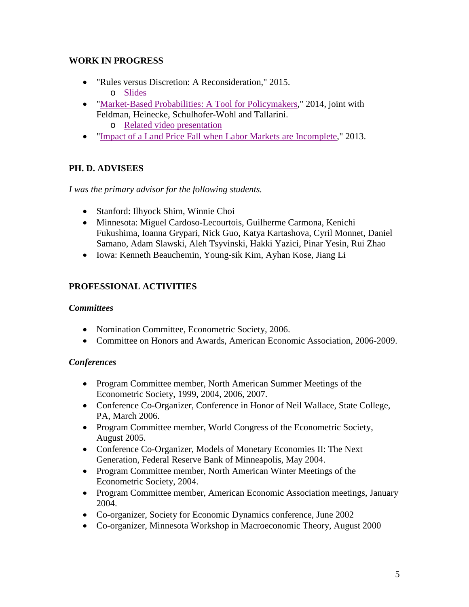### **WORK IN PROGRESS**

- "Rules versus Discretion: A Reconsideration," 2015. o [Slides](https://www.minneapolisfed.org/news-and-events/presidents-speeches/rules-versus-discretion-a-reconsideration)
- ["Market-Based Probabilities: A Tool for Policymakers,](https://www.minneapolisfed.org/banking/mpd/resources/papers/market-based-probabilities-a-tool-for-policymakers)" 2014, joint with Feldman, Heinecke, Schulhofer-Wohl and Tallarini. o [Related video presentation](https://www.minneapolisfed.org/news-and-events/presidents-speeches/optimal-outlooks)
- ["Impact of a Land Price Fall when Labor Markets are Incomplete,](https://www.minneapolisfed.org/about/president/research-papers/impact-of-a-land-price-fall-when-labor-markets-are-incomplete)" 2013.

# **PH. D. ADVISEES**

*I was the primary advisor for the following students.* 

- Stanford: Ilhyock Shim, Winnie Choi
- Minnesota: Miguel Cardoso-Lecourtois, Guilherme Carmona, Kenichi Fukushima, Ioanna Grypari, Nick Guo, Katya Kartashova, Cyril Monnet, Daniel Samano, Adam Slawski, Aleh Tsyvinski, Hakki Yazici, Pinar Yesin, Rui Zhao
- Iowa: Kenneth Beauchemin, Young-sik Kim, Ayhan Kose, Jiang Li

# **PROFESSIONAL ACTIVITIES**

### *Committees*

- Nomination Committee, Econometric Society, 2006.
- Committee on Honors and Awards, American Economic Association, 2006-2009.

## *Conferences*

- Program Committee member, North American Summer Meetings of the Econometric Society, 1999, 2004, 2006, 2007.
- Conference Co-Organizer, Conference in Honor of Neil Wallace, State College, PA, March 2006.
- Program Committee member, World Congress of the Econometric Society, August 2005.
- Conference Co-Organizer, Models of Monetary Economies II: The Next Generation, Federal Reserve Bank of Minneapolis, May 2004.
- Program Committee member, North American Winter Meetings of the Econometric Society, 2004.
- Program Committee member, American Economic Association meetings, January 2004.
- Co-organizer, Society for Economic Dynamics conference, June 2002
- Co-organizer, Minnesota Workshop in Macroeconomic Theory, August 2000